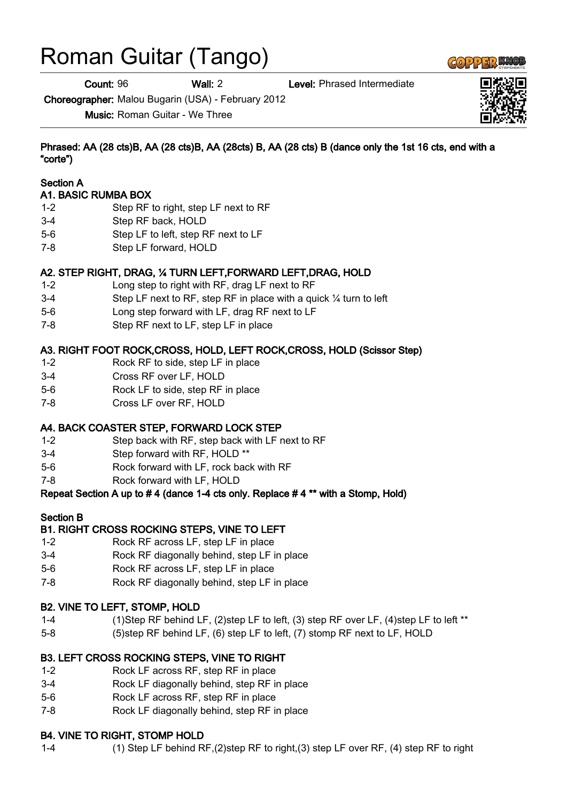# Roman Guitar (Tango)

Count: 96 Wall: 2 Level: Phrased Intermediate

Choreographer: Malou Bugarin (USA) - February 2012

Music: Roman Guitar - We Three

Phrased: AA (28 cts)B, AA (28 cts)B, AA (28cts) B, AA (28 cts) B (dance only the 1st 16 cts, end with a "corte")

#### Section A

#### A1. BASIC RUMBA BOX

- 1-2 Step RF to right, step LF next to RF
- 3-4 Step RF back, HOLD
- 5-6 Step LF to left, step RF next to LF
- 7-8 Step LF forward, HOLD

# A2. STEP RIGHT, DRAG, ¼ TURN LEFT,FORWARD LEFT,DRAG, HOLD

- 1-2 Long step to right with RF, drag LF next to RF
- 3-4 Step LF next to RF, step RF in place with a quick ¼ turn to left
- 5-6 Long step forward with LF, drag RF next to LF
- 7-8 Step RF next to LF, step LF in place

# A3. RIGHT FOOT ROCK,CROSS, HOLD, LEFT ROCK,CROSS, HOLD (Scissor Step)

- 1-2 Rock RF to side, step LF in place
- 3-4 Cross RF over LF, HOLD
- 5-6 Rock LF to side, step RF in place
- 7-8 Cross LF over RF, HOLD

# A4. BACK COASTER STEP, FORWARD LOCK STEP

- 1-2 Step back with RF, step back with LF next to RF
- 3-4 Step forward with RF, HOLD \*\*
- 5-6 Rock forward with LF, rock back with RF
- 7-8 Rock forward with LF, HOLD

# Repeat Section A up to # 4 (dance 1-4 cts only. Replace # 4 \*\* with a Stomp, Hold)

# Section B

# B1. RIGHT CROSS ROCKING STEPS, VINE TO LEFT

- 1-2 Rock RF across LF, step LF in place
- 3-4 Rock RF diagonally behind, step LF in place
- 5-6 Rock RF across LF, step LF in place
- 7-8 Rock RF diagonally behind, step LF in place

# B2. VINE TO LEFT, STOMP, HOLD

- 1-4 (1)Step RF behind LF, (2)step LF to left, (3) step RF over LF, (4)step LF to left \*\*
- 5-8 (5)step RF behind LF, (6) step LF to left, (7) stomp RF next to LF, HOLD

# B3. LEFT CROSS ROCKING STEPS, VINE TO RIGHT

- 1-2 Rock LF across RF, step RF in place
- 3-4 Rock LF diagonally behind, step RF in place
- 5-6 Rock LF across RF, step RF in place
- 7-8 Rock LF diagonally behind, step RF in place

#### B4. VINE TO RIGHT, STOMP HOLD

1-4 (1) Step LF behind RF,(2)step RF to right,(3) step LF over RF, (4) step RF to right